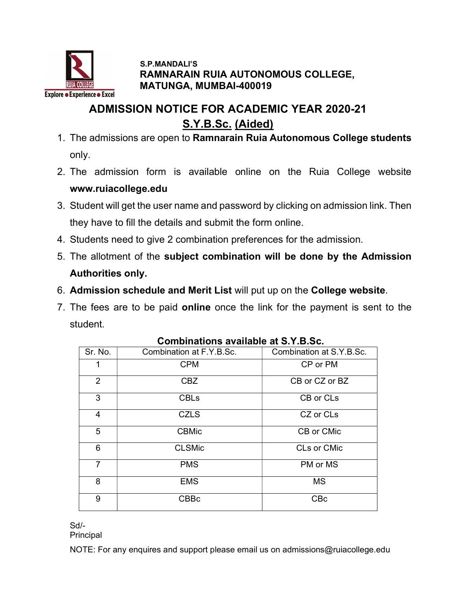

#### S.P.MANDALI'S RAMNARAIN RUIA AUTONOMOUS COLLEGE, MATUNGA, MUMBAI-400019

## ADMISSION NOTICE FOR ACADEMIC YEAR 2020-21 S.Y.B.Sc. (Aided)

- 1. The admissions are open to Ramnarain Ruia Autonomous College students only.
- 2. The admission form is available online on the Ruia College website www.ruiacollege.edu
- 3. Student will get the user name and password by clicking on admission link. Then they have to fill the details and submit the form online.
- 4. Students need to give 2 combination preferences for the admission.
- 5. The allotment of the subject combination will be done by the Admission Authorities only.
- 6. Admission schedule and Merit List will put up on the College website.
- 7. The fees are to be paid online once the link for the payment is sent to the student.

| Sr. No.        | Combination at F.Y.B.Sc. | Combination at S.Y.B.Sc. |
|----------------|--------------------------|--------------------------|
| 1              | <b>CPM</b>               | CP or PM                 |
| 2              | <b>CBZ</b>               | CB or CZ or BZ           |
| 3              | <b>CBLs</b>              | CB or CLs                |
| $\overline{4}$ | <b>CZLS</b>              | CZ or CLs                |
| 5              | <b>CBMic</b>             | CB or CMic               |
| 6              | <b>CLSMic</b>            | <b>CLs or CMic</b>       |
| $\overline{7}$ | <b>PMS</b>               | PM or MS                 |
| 8              | <b>EMS</b>               | <b>MS</b>                |
| 9              | <b>CBBc</b>              | <b>CBc</b>               |

#### Combinations available at S.Y.B.Sc.

Sd/-

Principal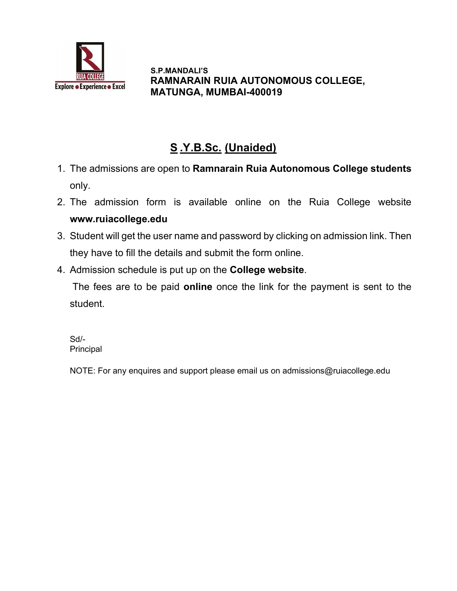

 S.P.MANDALI'S RAMNARAIN RUIA AUTONOMOUS COLLEGE, MATUNGA, MUMBAI-400019

# S .Y.B.Sc. (Unaided)

- 1. The admissions are open to Ramnarain Ruia Autonomous College students only.
- 2. The admission form is available online on the Ruia College website www.ruiacollege.edu
- 3. Student will get the user name and password by clicking on admission link. Then they have to fill the details and submit the form online.
- 4. Admission schedule is put up on the College website.

The fees are to be paid **online** once the link for the payment is sent to the student.

Sd/- **Principal**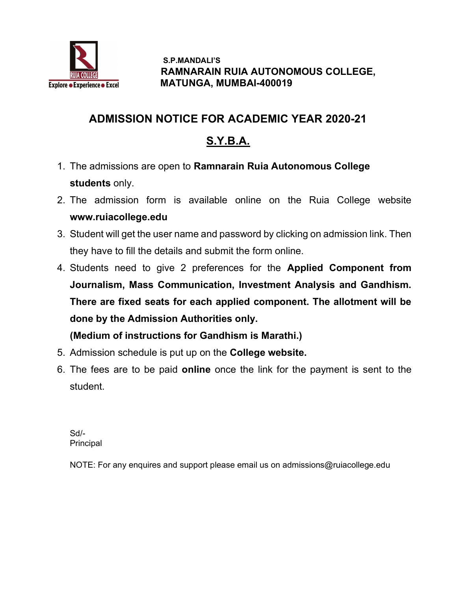

 S.P.MANDALI'S RAMNARAIN RUIA AUTONOMOUS COLLEGE, MATUNGA, MUMBAI-400019

### ADMISSION NOTICE FOR ACADEMIC YEAR 2020-21

# S.Y.B.A.

- 1. The admissions are open to Ramnarain Ruia Autonomous College students only.
- 2. The admission form is available online on the Ruia College website www.ruiacollege.edu
- 3. Student will get the user name and password by clicking on admission link. Then they have to fill the details and submit the form online.
- 4. Students need to give 2 preferences for the Applied Component from Journalism, Mass Communication, Investment Analysis and Gandhism. There are fixed seats for each applied component. The allotment will be done by the Admission Authorities only.

(Medium of instructions for Gandhism is Marathi.)

- 5. Admission schedule is put up on the College website.
- 6. The fees are to be paid online once the link for the payment is sent to the student.

Sd/- Principal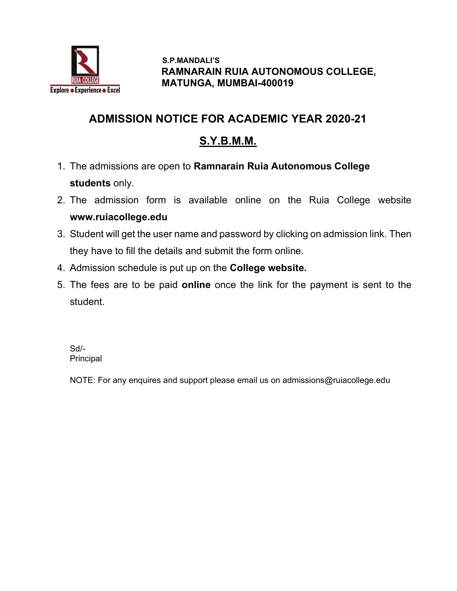

 S.P.MANDALI'S RAMNARAIN RUIA AUTONOMOUS COLLEGE, MATUNGA, MUMBAI-400019

#### ADMISSION NOTICE FOR ACADEMIC YEAR 2020-21

### S.Y.B.M.M.

- 1. The admissions are open to Ramnarain Ruia Autonomous College students only.
- 2. The admission form is available online on the Ruia College website www.ruiacollege.edu
- 3. Student will get the user name and password by clicking on admission link. Then they have to fill the details and submit the form online.
- 4. Admission schedule is put up on the College website.
- 5. The fees are to be paid online once the link for the payment is sent to the student.

Sd/- **Principal**